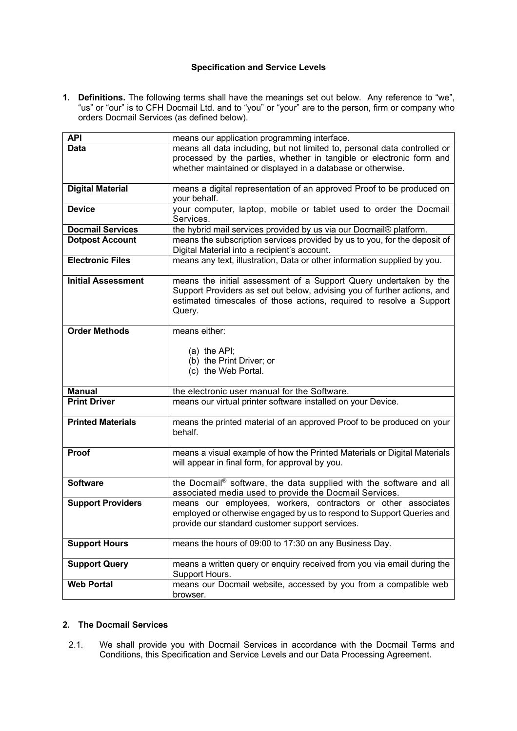# **Specification and Service Levels**

**1. Definitions.** The following terms shall have the meanings set out below. Any reference to "we", "us" or "our" is to CFH Docmail Ltd. and to "you" or "your" are to the person, firm or company who orders Docmail Services (as defined below).

| <b>API</b>                | means our application programming interface.                                                                                 |
|---------------------------|------------------------------------------------------------------------------------------------------------------------------|
|                           |                                                                                                                              |
| Data                      | means all data including, but not limited to, personal data controlled or                                                    |
|                           | processed by the parties, whether in tangible or electronic form and                                                         |
|                           | whether maintained or displayed in a database or otherwise.                                                                  |
|                           |                                                                                                                              |
| <b>Digital Material</b>   | means a digital representation of an approved Proof to be produced on                                                        |
|                           | your behalf.                                                                                                                 |
| <b>Device</b>             | your computer, laptop, mobile or tablet used to order the Docmail                                                            |
|                           | Services.                                                                                                                    |
| <b>Docmail Services</b>   | the hybrid mail services provided by us via our Docmail® platform.                                                           |
| <b>Dotpost Account</b>    | means the subscription services provided by us to you, for the deposit of                                                    |
|                           | Digital Material into a recipient's account.                                                                                 |
| <b>Electronic Files</b>   | means any text, illustration, Data or other information supplied by you.                                                     |
|                           |                                                                                                                              |
| <b>Initial Assessment</b> | means the initial assessment of a Support Query undertaken by the                                                            |
|                           | Support Providers as set out below, advising you of further actions, and                                                     |
|                           |                                                                                                                              |
|                           | estimated timescales of those actions, required to resolve a Support                                                         |
|                           | Query.                                                                                                                       |
| <b>Order Methods</b>      |                                                                                                                              |
|                           | means either:                                                                                                                |
|                           |                                                                                                                              |
|                           | (a) the API;                                                                                                                 |
|                           | (b) the Print Driver; or                                                                                                     |
|                           |                                                                                                                              |
|                           | (c) the Web Portal.                                                                                                          |
|                           |                                                                                                                              |
| <b>Manual</b>             | the electronic user manual for the Software.                                                                                 |
| <b>Print Driver</b>       | means our virtual printer software installed on your Device.                                                                 |
|                           |                                                                                                                              |
| <b>Printed Materials</b>  | means the printed material of an approved Proof to be produced on your                                                       |
|                           | behalf.                                                                                                                      |
|                           |                                                                                                                              |
| Proof                     | means a visual example of how the Printed Materials or Digital Materials                                                     |
|                           | will appear in final form, for approval by you.                                                                              |
|                           |                                                                                                                              |
| <b>Software</b>           |                                                                                                                              |
|                           | the Docmail® software, the data supplied with the software and all<br>associated media used to provide the Docmail Services. |
|                           |                                                                                                                              |
| <b>Support Providers</b>  | means our employees, workers, contractors or other associates                                                                |
|                           | employed or otherwise engaged by us to respond to Support Queries and                                                        |
|                           | provide our standard customer support services.                                                                              |
|                           |                                                                                                                              |
| <b>Support Hours</b>      | means the hours of 09:00 to 17:30 on any Business Day.                                                                       |
|                           |                                                                                                                              |
| <b>Support Query</b>      | means a written query or enquiry received from you via email during the                                                      |
|                           | Support Hours.                                                                                                               |
| <b>Web Portal</b>         | means our Docmail website, accessed by you from a compatible web<br>browser.                                                 |

# **2. The Docmail Services**

2.1. We shall provide you with Docmail Services in accordance with the Docmail Terms and Conditions, this Specification and Service Levels and our Data Processing Agreement.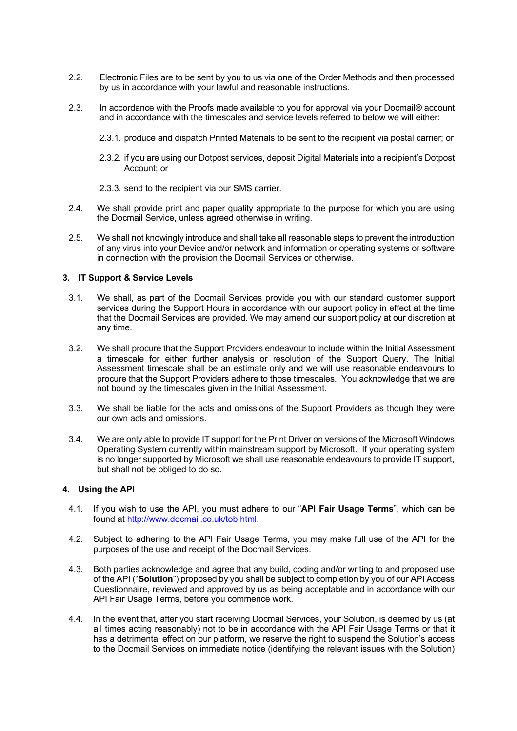- 2.2. Electronic Files are to be sent by you to us via one of the Order Methods and then processed by us in accordance with your lawful and reasonable instructions.
- 2.3. In accordance with the Proofs made available to you for approval via your Docmail® account and in accordance with the timescales and service levels referred to below we will either:
	- 2.3.1. produce and dispatch Printed Materials to be sent to the recipient via postal carrier; or
	- 2.3.2. if you are using our Dotpost services, deposit Digital Materials into a recipient's Dotpost Account; or
	- 2.3.3. send to the recipient via our SMS carrier.
- 2.4. We shall provide print and paper quality appropriate to the purpose for which you are using the Docmail Service, unless agreed otherwise in writing.
- 2.5. We shall not knowingly introduce and shall take all reasonable steps to prevent the introduction of any virus into your Device and/or network and information or operating systems or software in connection with the provision the Docmail Services or otherwise.

#### **3. IT Support & Service Levels**

- 3.1. We shall, as part of the Docmail Services provide you with our standard customer support services during the Support Hours in accordance with our support policy in effect at the time that the Docmail Services are provided. We may amend our support policy at our discretion at any time.
- 3.2. We shall procure that the Support Providers endeavour to include within the Initial Assessment a timescale for either further analysis or resolution of the Support Query. The Initial Assessment timescale shall be an estimate only and we will use reasonable endeavours to procure that the Support Providers adhere to those timescales. You acknowledge that we are not bound by the timescales given in the Initial Assessment.
- 3.3. We shall be liable for the acts and omissions of the Support Providers as though they were our own acts and omissions.
- 3.4. We are only able to provide IT support for the Print Driver on versions of the Microsoft Windows Operating System currently within mainstream support by Microsoft. If your operating system is no longer supported by Microsoft we shall use reasonable endeavours to provide IT support, but shall not be obliged to do so.

# **4. Using the API**

- 4.1. If you wish to use the API, you must adhere to our "**API Fair Usage Terms**", which can be found at http://www.docmail.co.uk/tob.html.
- 4.2. Subject to adhering to the API Fair Usage Terms, you may make full use of the API for the purposes of the use and receipt of the Docmail Services.
- 4.3. Both parties acknowledge and agree that any build, coding and/or writing to and proposed use of the API ("**Solution**") proposed by you shall be subject to completion by you of our API Access Questionnaire, reviewed and approved by us as being acceptable and in accordance with our API Fair Usage Terms, before you commence work.
- 4.4. In the event that, after you start receiving Docmail Services, your Solution, is deemed by us (at all times acting reasonably) not to be in accordance with the API Fair Usage Terms or that it has a detrimental effect on our platform, we reserve the right to suspend the Solution's access to the Docmail Services on immediate notice (identifying the relevant issues with the Solution)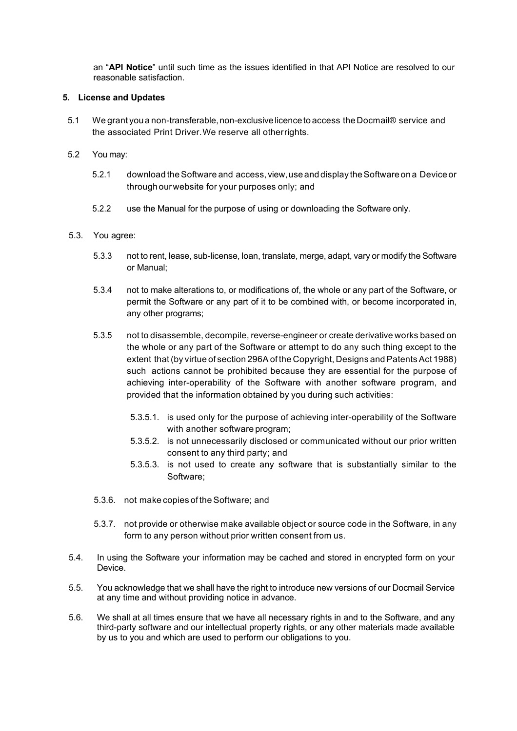an "**API Notice**" until such time as the issues identified in that API Notice are resolved to our reasonable satisfaction.

# **5. License and Updates**

- 5.1 We grant you a non-transferable, non-exclusive licence to access the Docmail® service and the associated Print Driver.We reserve all otherrights.
- 5.2 You may:
	- 5.2.1 download theSoftware and access, view,use and display theSoftware on a Device or throughourwebsite for your purposes only; and
	- 5.2.2 use the Manual for the purpose of using or downloading the Software only.

#### 5.3. You agree:

- 5.3.3 not to rent, lease, sub-license, loan, translate, merge, adapt, vary or modify the Software or Manual;
- 5.3.4 not to make alterations to, or modifications of, the whole or any part of the Software, or permit the Software or any part of it to be combined with, or become incorporated in, any other programs;
- 5.3.5 not to disassemble, decompile, reverse-engineer or create derivative works based on the whole or any part of the Software or attempt to do any such thing except to the extent that(by virtue of section 296A of the Copyright, Designs and Patents Act 1988) such actions cannot be prohibited because they are essential for the purpose of achieving inter-operability of the Software with another software program, and provided that the information obtained by you during such activities:
	- 5.3.5.1. is used only for the purpose of achieving inter-operability of the Software with another software program;
	- 5.3.5.2. is not unnecessarily disclosed or communicated without our prior written consent to any third party; and
	- 5.3.5.3. is not used to create any software that is substantially similar to the Software;
- 5.3.6. not make copies of the Software; and
- 5.3.7. not provide or otherwise make available object or source code in the Software, in any form to any person without prior written consent from us.
- 5.4. In using the Software your information may be cached and stored in encrypted form on your Device.
- 5.5. You acknowledge that we shall have the right to introduce new versions of our Docmail Service at any time and without providing notice in advance.
- 5.6. We shall at all times ensure that we have all necessary rights in and to the Software, and any third-party software and our intellectual property rights, or any other materials made available by us to you and which are used to perform our obligations to you.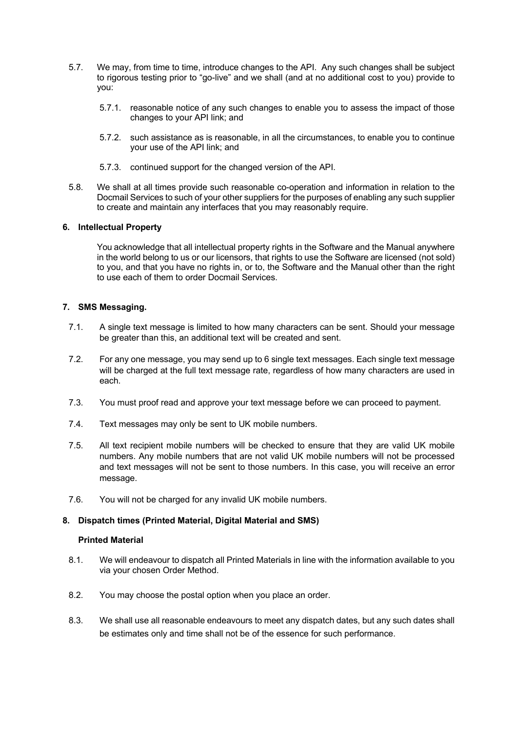- 5.7. We may, from time to time, introduce changes to the API. Any such changes shall be subject to rigorous testing prior to "go-live" and we shall (and at no additional cost to you) provide to you:
	- 5.7.1. reasonable notice of any such changes to enable you to assess the impact of those changes to your API link; and
	- 5.7.2. such assistance as is reasonable, in all the circumstances, to enable you to continue your use of the API link; and
	- 5.7.3. continued support for the changed version of the API.
- 5.8. We shall at all times provide such reasonable co-operation and information in relation to the Docmail Services to such of your other suppliers for the purposes of enabling any such supplier to create and maintain any interfaces that you may reasonably require.

#### **6. Intellectual Property**

You acknowledge that all intellectual property rights in the Software and the Manual anywhere in the world belong to us or our licensors, that rights to use the Software are licensed (not sold) to you, and that you have no rights in, or to, the Software and the Manual other than the right to use each of them to order Docmail Services.

#### **7. SMS Messaging.**

- 7.1. A single text message is limited to how many characters can be sent. Should your message be greater than this, an additional text will be created and sent.
- 7.2. For any one message, you may send up to 6 single text messages. Each single text message will be charged at the full text message rate, regardless of how many characters are used in each.
- 7.3. You must proof read and approve your text message before we can proceed to payment.
- 7.4. Text messages may only be sent to UK mobile numbers.
- 7.5. All text recipient mobile numbers will be checked to ensure that they are valid UK mobile numbers. Any mobile numbers that are not valid UK mobile numbers will not be processed and text messages will not be sent to those numbers. In this case, you will receive an error message.
- 7.6. You will not be charged for any invalid UK mobile numbers.

# **8. Dispatch times (Printed Material, Digital Material and SMS)**

# **Printed Material**

- 8.1. We will endeavour to dispatch all Printed Materials in line with the information available to you via your chosen Order Method.
- 8.2. You may choose the postal option when you place an order.
- 8.3. We shall use all reasonable endeavours to meet any dispatch dates, but any such dates shall be estimates only and time shall not be of the essence for such performance.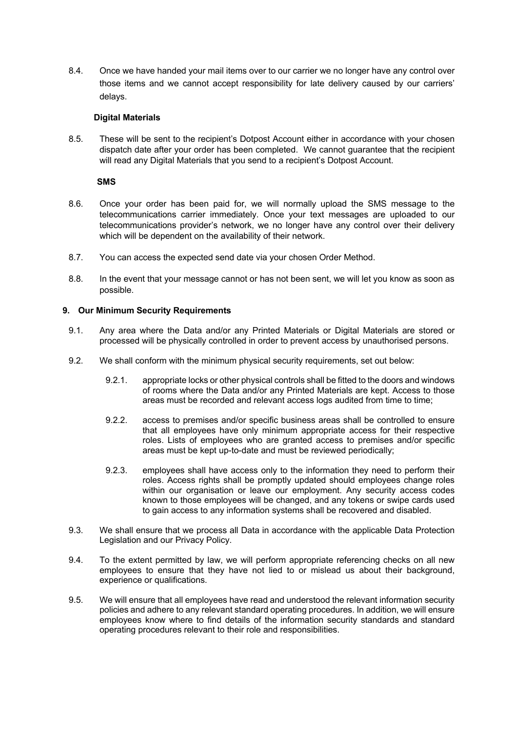8.4. Once we have handed your mail items over to our carrier we no longer have any control over those items and we cannot accept responsibility for late delivery caused by our carriers' delays.

# **Digital Materials**

8.5. These will be sent to the recipient's Dotpost Account either in accordance with your chosen dispatch date after your order has been completed. We cannot guarantee that the recipient will read any Digital Materials that you send to a recipient's Dotpost Account.

#### **SMS**

- 8.6. Once your order has been paid for, we will normally upload the SMS message to the telecommunications carrier immediately. Once your text messages are uploaded to our telecommunications provider's network, we no longer have any control over their delivery which will be dependent on the availability of their network.
- 8.7. You can access the expected send date via your chosen Order Method.
- 8.8. In the event that your message cannot or has not been sent, we will let you know as soon as possible.

# **9. Our Minimum Security Requirements**

- 9.1. Any area where the Data and/or any Printed Materials or Digital Materials are stored or processed will be physically controlled in order to prevent access by unauthorised persons.
- 9.2. We shall conform with the minimum physical security requirements, set out below:
	- 9.2.1. appropriate locks or other physical controls shall be fitted to the doors and windows of rooms where the Data and/or any Printed Materials are kept. Access to those areas must be recorded and relevant access logs audited from time to time;
	- 9.2.2. access to premises and/or specific business areas shall be controlled to ensure that all employees have only minimum appropriate access for their respective roles. Lists of employees who are granted access to premises and/or specific areas must be kept up-to-date and must be reviewed periodically;
	- 9.2.3. employees shall have access only to the information they need to perform their roles. Access rights shall be promptly updated should employees change roles within our organisation or leave our employment. Any security access codes known to those employees will be changed, and any tokens or swipe cards used to gain access to any information systems shall be recovered and disabled.
- 9.3. We shall ensure that we process all Data in accordance with the applicable Data Protection Legislation and our Privacy Policy.
- 9.4. To the extent permitted by law, we will perform appropriate referencing checks on all new employees to ensure that they have not lied to or mislead us about their background, experience or qualifications.
- 9.5. We will ensure that all employees have read and understood the relevant information security policies and adhere to any relevant standard operating procedures. In addition, we will ensure employees know where to find details of the information security standards and standard operating procedures relevant to their role and responsibilities.